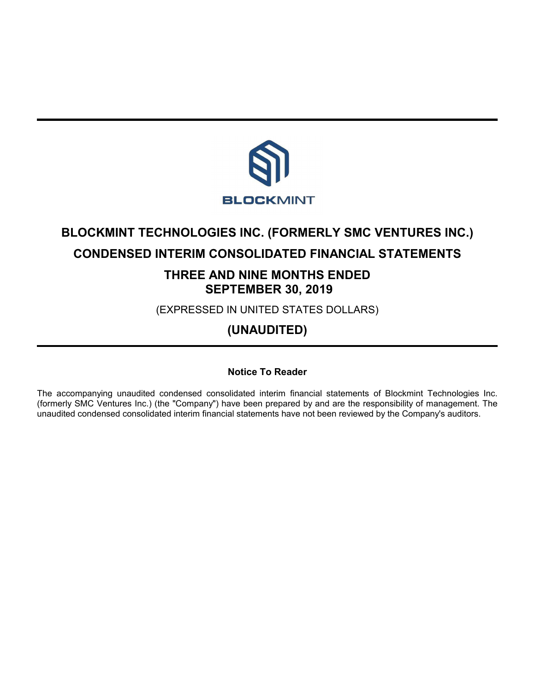

# **BLOCKMINT TECHNOLOGIES INC. (FORMERLY SMC VENTURES INC.)**

# **CONDENSED INTERIM CONSOLIDATED FINANCIAL STATEMENTS**

# **THREE AND NINE MONTHS ENDED SEPTEMBER 30, 2019**

(EXPRESSED IN UNITED STATES DOLLARS)

# **(UNAUDITED)**

# **Notice To Reader**

The accompanying unaudited condensed consolidated interim financial statements of Blockmint Technologies Inc. (formerly SMC Ventures Inc.) (the "Company") have been prepared by and are the responsibility of management. The unaudited condensed consolidated interim financial statements have not been reviewed by the Company's auditors.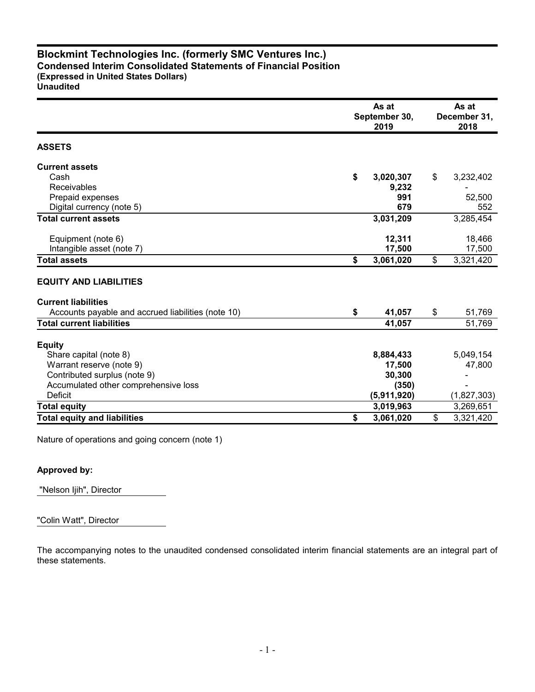# **Blockmint Technologies Inc. (formerly SMC Ventures Inc.) Condensed Interim Consolidated Statements of Financial Position (Expressed in United States Dollars)**

**Unaudited**

|                                                    | As at<br>September 30,<br>2019 | As at<br>December 31,<br>2018 |
|----------------------------------------------------|--------------------------------|-------------------------------|
| <b>ASSETS</b>                                      |                                |                               |
| <b>Current assets</b>                              |                                |                               |
| Cash                                               | \$<br>3,020,307                | \$<br>3,232,402               |
| Receivables                                        | 9,232                          |                               |
| Prepaid expenses                                   | 991                            | 52,500                        |
| Digital currency (note 5)                          | 679                            | 552                           |
| <b>Total current assets</b>                        | 3,031,209                      | 3,285,454                     |
| Equipment (note 6)                                 | 12,311                         | 18,466                        |
| Intangible asset (note 7)                          | 17,500                         | 17,500                        |
| <b>Total assets</b>                                | \$<br>3,061,020                | \$<br>3,321,420               |
| <b>EQUITY AND LIABILITIES</b>                      |                                |                               |
| <b>Current liabilities</b>                         |                                |                               |
| Accounts payable and accrued liabilities (note 10) | \$<br>41,057                   | \$<br>51,769                  |
| <b>Total current liabilities</b>                   | 41,057                         | 51,769                        |
| <b>Equity</b>                                      |                                |                               |
| Share capital (note 8)                             | 8,884,433                      | 5,049,154                     |
| Warrant reserve (note 9)                           | 17,500                         | 47,800                        |
| Contributed surplus (note 9)                       | 30,300                         |                               |
| Accumulated other comprehensive loss               | (350)                          |                               |
| <b>Deficit</b>                                     | (5,911,920)                    | (1,827,303)                   |
| Total equity                                       | 3,019,963                      | 3,269,651                     |
| <b>Total equity and liabilities</b>                | \$<br>3,061,020                | \$<br>3,321,420               |

Nature of operations and going concern (note 1)

# **Approved by:**

"Nelson Ijih", Director

"Colin Watt", Director

The accompanying notes to the unaudited condensed consolidated interim financial statements are an integral part of these statements.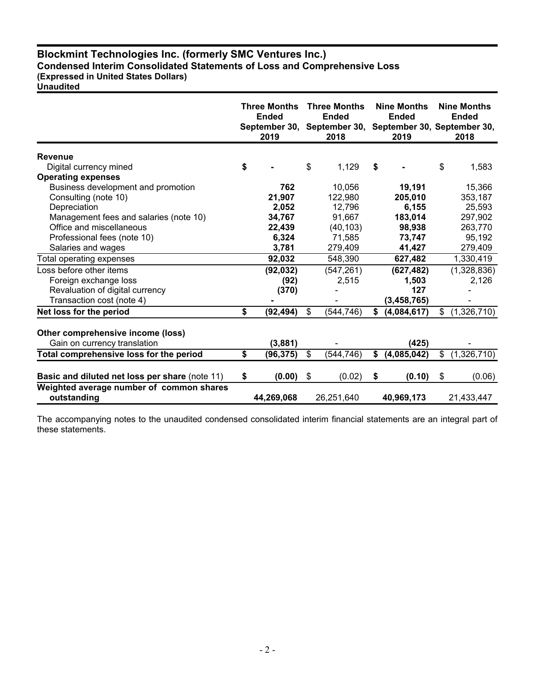# **Blockmint Technologies Inc. (formerly SMC Ventures Inc.) Condensed Interim Consolidated Statements of Loss and Comprehensive Loss**

# **(Expressed in United States Dollars)**

**Unaudited**

|                                                         | <b>Three Months</b><br><b>Ended</b><br>2019 |            | <b>Three Months</b><br><b>Ended</b><br>September 30, September 30, September 30, September 30,<br>2018 |            | <b>Nine Months</b><br><b>Ended</b><br>2019 |               | <b>Nine Months</b><br><b>Ended</b><br>2018 |
|---------------------------------------------------------|---------------------------------------------|------------|--------------------------------------------------------------------------------------------------------|------------|--------------------------------------------|---------------|--------------------------------------------|
| Revenue                                                 |                                             |            |                                                                                                        |            |                                            |               |                                            |
| Digital currency mined                                  | \$                                          |            | \$                                                                                                     | 1,129      | \$                                         |               | \$<br>1,583                                |
| <b>Operating expenses</b>                               |                                             |            |                                                                                                        |            |                                            |               |                                            |
| Business development and promotion                      |                                             | 762        |                                                                                                        | 10,056     |                                            | 19,191        | 15,366                                     |
| Consulting (note 10)                                    |                                             | 21,907     |                                                                                                        | 122,980    |                                            | 205,010       | 353,187                                    |
| Depreciation                                            |                                             | 2,052      |                                                                                                        | 12,796     |                                            | 6,155         | 25,593                                     |
| Management fees and salaries (note 10)                  |                                             | 34,767     |                                                                                                        | 91,667     |                                            | 183,014       | 297,902                                    |
| Office and miscellaneous                                |                                             | 22,439     |                                                                                                        | (40, 103)  |                                            | 98,938        | 263,770                                    |
| Professional fees (note 10)                             |                                             | 6,324      |                                                                                                        | 71,585     |                                            | 73,747        | 95,192                                     |
| Salaries and wages                                      |                                             | 3,781      |                                                                                                        | 279,409    |                                            | 41,427        | 279,409                                    |
| Total operating expenses                                |                                             | 92,032     |                                                                                                        | 548,390    |                                            | 627,482       | 1,330,419                                  |
| Loss before other items                                 |                                             | (92, 032)  |                                                                                                        | (547, 261) |                                            | (627, 482)    | (1,328,836)                                |
| Foreign exchange loss                                   |                                             | (92)       |                                                                                                        | 2,515      |                                            | 1,503         | 2,126                                      |
| Revaluation of digital currency                         |                                             | (370)      |                                                                                                        |            |                                            | 127           |                                            |
| Transaction cost (note 4)                               |                                             |            |                                                                                                        |            |                                            | (3, 458, 765) |                                            |
| Net loss for the period                                 | \$                                          | (92, 494)  | \$                                                                                                     | (544, 746) | \$                                         | (4,084,617)   | \$<br>(1,326,710)                          |
| Other comprehensive income (loss)                       |                                             |            |                                                                                                        |            |                                            |               |                                            |
| Gain on currency translation                            |                                             | (3,881)    |                                                                                                        |            |                                            | (425)         |                                            |
| Total comprehensive loss for the period                 | \$                                          | (96, 375)  | \$                                                                                                     | (544, 746) | \$                                         | (4,085,042)   | \$<br>(1,326,710)                          |
| <b>Basic and diluted net loss per share (note 11)</b>   | \$                                          | (0.00)     | \$                                                                                                     | (0.02)     | \$                                         | (0.10)        | \$<br>(0.06)                               |
| Weighted average number of common shares<br>outstanding |                                             | 44,269,068 |                                                                                                        | 26,251,640 |                                            | 40,969,173    | 21,433,447                                 |

The accompanying notes to the unaudited condensed consolidated interim financial statements are an integral part of these statements.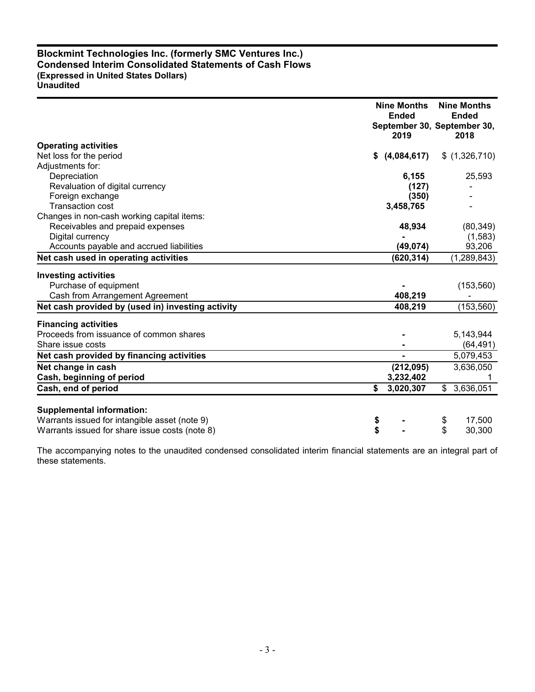# **Blockmint Technologies Inc. (formerly SMC Ventures Inc.) Condensed Interim Consolidated Statements of Cash Flows (Expressed in United States Dollars) Unaudited**

|                                                   | <b>Nine Months</b><br><b>Ended</b><br>2019 | <b>Nine Months</b><br><b>Ended</b><br>September 30, September 30,<br>2018 |
|---------------------------------------------------|--------------------------------------------|---------------------------------------------------------------------------|
| <b>Operating activities</b>                       |                                            |                                                                           |
| Net loss for the period                           | (4,084,617)<br>\$                          | \$(1,326,710)                                                             |
| Adjustments for:                                  |                                            |                                                                           |
| Depreciation                                      | 6,155                                      | 25,593                                                                    |
| Revaluation of digital currency                   | (127)                                      |                                                                           |
| Foreign exchange<br><b>Transaction cost</b>       | (350)                                      |                                                                           |
| Changes in non-cash working capital items:        | 3,458,765                                  |                                                                           |
| Receivables and prepaid expenses                  | 48,934                                     | (80, 349)                                                                 |
| Digital currency                                  |                                            | (1, 583)                                                                  |
| Accounts payable and accrued liabilities          | (49, 074)                                  | 93,206                                                                    |
| Net cash used in operating activities             | (620, 314)                                 | (1, 289, 843)                                                             |
| <b>Investing activities</b>                       |                                            |                                                                           |
| Purchase of equipment                             |                                            | (153, 560)                                                                |
| Cash from Arrangement Agreement                   | 408,219                                    |                                                                           |
| Net cash provided by (used in) investing activity | 408,219                                    | (153, 560)                                                                |
| <b>Financing activities</b>                       |                                            |                                                                           |
| Proceeds from issuance of common shares           |                                            | 5,143,944                                                                 |
| Share issue costs                                 |                                            | (64, 491)                                                                 |
| Net cash provided by financing activities         |                                            | 5,079,453                                                                 |
| Net change in cash                                | (212,095)                                  | 3,636,050                                                                 |
| Cash, beginning of period                         | 3,232,402                                  |                                                                           |
| Cash, end of period                               | \$<br>3,020,307                            | \$3,636,051                                                               |
| <b>Supplemental information:</b>                  |                                            |                                                                           |
| Warrants issued for intangible asset (note 9)     | \$                                         | 17,500<br>\$                                                              |
| Warrants issued for share issue costs (note 8)    | \$                                         | \$<br>30,300                                                              |
|                                                   |                                            |                                                                           |

The accompanying notes to the unaudited condensed consolidated interim financial statements are an integral part of these statements.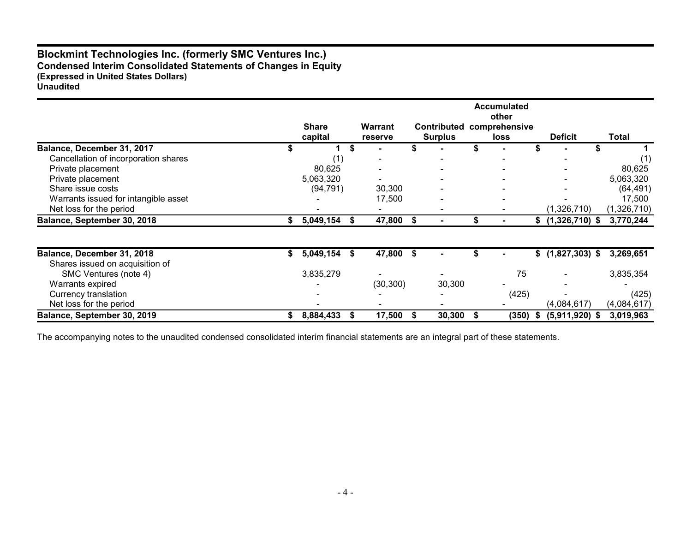# **Blockmint Technologies Inc. (formerly SMC Ventures Inc.) Condensed Interim Consolidated Statements of Changes in Equity (Expressed in United States Dollars) Unaudited**

|                                      |                         |   |                           |      |                                      |   | <b>Accumulated</b><br>other  |    |                   |             |
|--------------------------------------|-------------------------|---|---------------------------|------|--------------------------------------|---|------------------------------|----|-------------------|-------------|
|                                      | <b>Share</b><br>capital |   | <b>Warrant</b><br>reserve |      | <b>Contributed</b><br><b>Surplus</b> |   | comprehensive<br><b>loss</b> |    | <b>Deficit</b>    | Total       |
| Balance, December 31, 2017           |                         | S |                           |      |                                      |   |                              |    |                   |             |
| Cancellation of incorporation shares | (1)                     |   |                           |      |                                      |   |                              |    |                   |             |
| Private placement                    | 80,625                  |   |                           |      |                                      |   |                              |    |                   | 80,625      |
| Private placement                    | 5,063,320               |   |                           |      |                                      |   |                              |    |                   | 5,063,320   |
| Share issue costs                    | (94, 791)               |   | 30,300                    |      |                                      |   |                              |    |                   | (64, 491)   |
| Warrants issued for intangible asset |                         |   | 17,500                    |      |                                      |   |                              |    |                   | 17,500      |
| Net loss for the period              |                         |   |                           |      |                                      |   |                              |    | (1,326,710)       | (1,326,710) |
| Balance, September 30, 2018          | 5,049,154               |   | 47,800 \$                 |      |                                      |   |                              |    | $$(1,326,710)$ \$ | 3,770,244   |
|                                      |                         |   |                           |      |                                      |   |                              |    |                   |             |
| Balance, December 31, 2018           | \$<br>5,049,154         | S | 47,800                    | - \$ |                                      |   |                              |    | $$(1,827,303)$ \$ | 3,269,651   |
| Shares issued on acquisition of      |                         |   |                           |      |                                      |   |                              |    |                   |             |
| SMC Ventures (note 4)                | 3,835,279               |   |                           |      |                                      |   | 75                           |    |                   | 3,835,354   |
| Warrants expired                     |                         |   | (30, 300)                 |      | 30,300                               |   |                              |    |                   |             |
| Currency translation                 |                         |   |                           |      |                                      |   | (425)                        |    |                   | (425)       |
| Net loss for the period              |                         |   |                           |      |                                      |   |                              |    | (4,084,617)       | (4,084,617) |
| Balance, September 30, 2019          | 8,884,433               |   | 17,500                    | S.   | 30,300                               | S | (350)                        | ъ. | $(5,911,920)$ \$  | 3,019,963   |

The accompanying notes to the unaudited condensed consolidated interim financial statements are an integral part of these statements.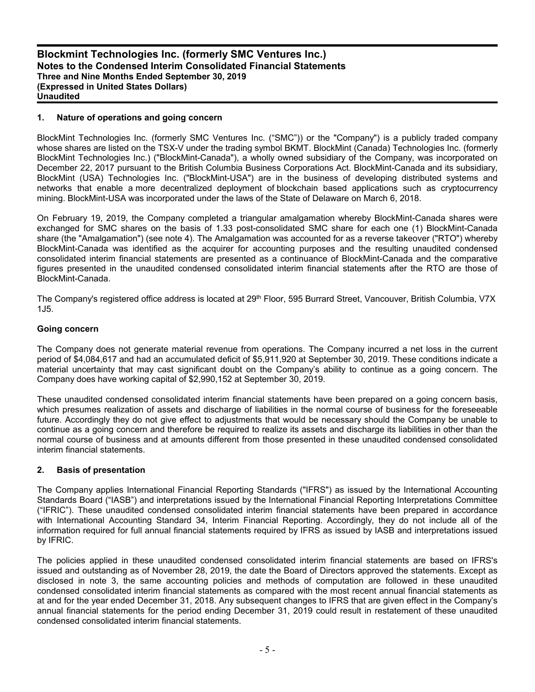# **1. Nature of operations and going concern**

BlockMint Technologies Inc. (formerly SMC Ventures Inc. ("SMC")) or the "Company") is a publicly traded company whose shares are listed on the TSX-V under the trading symbol BKMT. BlockMint (Canada) Technologies Inc. (formerly BlockMint Technologies Inc.) ("BlockMint-Canada"), a wholly owned subsidiary of the Company, was incorporated on December 22, 2017 pursuant to the British Columbia Business Corporations Act. BlockMint-Canada and its subsidiary, BlockMint (USA) Technologies Inc. ("BlockMint-USA") are in the business of developing distributed systems and networks that enable a more decentralized deployment of blockchain based applications such as cryptocurrency mining. BlockMint-USA was incorporated under the laws of the State of Delaware on March 6, 2018.

On February 19, 2019, the Company completed a triangular amalgamation whereby BlockMint-Canada shares were exchanged for SMC shares on the basis of 1.33 post-consolidated SMC share for each one (1) BlockMint-Canada share (the "Amalgamation") (see note 4). The Amalgamation was accounted for as a reverse takeover ("RTO") whereby BlockMint-Canada was identified as the acquirer for accounting purposes and the resulting unaudited condensed consolidated interim financial statements are presented as a continuance of BlockMint-Canada and the comparative figures presented in the unaudited condensed consolidated interim financial statements after the RTO are those of BlockMint-Canada.

The Company's registered office address is located at 29<sup>th</sup> Floor, 595 Burrard Street, Vancouver, British Columbia, V7X 1J5.

#### **Going concern**

The Company does not generate material revenue from operations. The Company incurred a net loss in the current period of \$4,084,617 and had an accumulated deficit of \$5,911,920 at September 30, 2019. These conditions indicate a material uncertainty that may cast significant doubt on the Company's ability to continue as a going concern. The Company does have working capital of \$2,990,152 at September 30, 2019.

These unaudited condensed consolidated interim financial statements have been prepared on a going concern basis, which presumes realization of assets and discharge of liabilities in the normal course of business for the foreseeable future. Accordingly they do not give effect to adjustments that would be necessary should the Company be unable to continue as a going concern and therefore be required to realize its assets and discharge its liabilities in other than the normal course of business and at amounts different from those presented in these unaudited condensed consolidated interim financial statements.

#### **2. Basis of presentation**

The Company applies International Financial Reporting Standards ("IFRS") as issued by the International Accounting Standards Board ("IASB") and interpretations issued by the International Financial Reporting Interpretations Committee ("IFRIC"). These unaudited condensed consolidated interim financial statements have been prepared in accordance with International Accounting Standard 34, Interim Financial Reporting. Accordingly, they do not include all of the information required for full annual financial statements required by IFRS as issued by IASB and interpretations issued by IFRIC.

The policies applied in these unaudited condensed consolidated interim financial statements are based on IFRS's issued and outstanding as of November 28, 2019, the date the Board of Directors approved the statements. Except as disclosed in note 3, the same accounting policies and methods of computation are followed in these unaudited condensed consolidated interim financial statements as compared with the most recent annual financial statements as at and for the year ended December 31, 2018. Any subsequent changes to IFRS that are given effect in the Company's annual financial statements for the period ending December 31, 2019 could result in restatement of these unaudited condensed consolidated interim financial statements.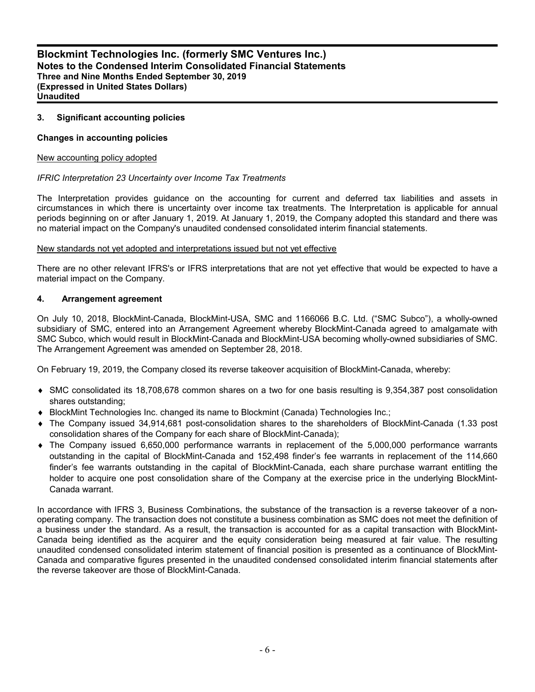## **3. Significant accounting policies**

#### **Changes in accounting policies**

#### New accounting policy adopted

#### *IFRIC Interpretation 23 Uncertainty over Income Tax Treatments*

The Interpretation provides guidance on the accounting for current and deferred tax liabilities and assets in circumstances in which there is uncertainty over income tax treatments. The Interpretation is applicable for annual periods beginning on or after January 1, 2019. At January 1, 2019, the Company adopted this standard and there was no material impact on the Company's unaudited condensed consolidated interim financial statements.

#### New standards not yet adopted and interpretations issued but not yet effective

There are no other relevant IFRS's or IFRS interpretations that are not yet effective that would be expected to have a material impact on the Company.

#### **4. Arrangement agreement**

On July 10, 2018, BlockMint-Canada, BlockMint-USA, SMC and 1166066 B.C. Ltd. ("SMC Subco"), a wholly-owned subsidiary of SMC, entered into an Arrangement Agreement whereby BlockMint-Canada agreed to amalgamate with SMC Subco, which would result in BlockMint-Canada and BlockMint-USA becoming wholly-owned subsidiaries of SMC. The Arrangement Agreement was amended on September 28, 2018.

On February 19, 2019, the Company closed its reverse takeover acquisition of BlockMint-Canada, whereby:

- SMC consolidated its 18,708,678 common shares on a two for one basis resulting is 9,354,387 post consolidation shares outstanding;
- ◆ BlockMint Technologies Inc. changed its name to Blockmint (Canada) Technologies Inc.;
- The Company issued 34,914,681 post-consolidation shares to the shareholders of BlockMint-Canada (1.33 post consolidation shares of the Company for each share of BlockMint-Canada);
- The Company issued 6,650,000 performance warrants in replacement of the 5,000,000 performance warrants outstanding in the capital of BlockMint-Canada and 152,498 finder's fee warrants in replacement of the 114,660 finder's fee warrants outstanding in the capital of BlockMint-Canada, each share purchase warrant entitling the holder to acquire one post consolidation share of the Company at the exercise price in the underlying BlockMint-Canada warrant.

In accordance with IFRS 3, Business Combinations, the substance of the transaction is a reverse takeover of a nonoperating company. The transaction does not constitute a business combination as SMC does not meet the definition of a business under the standard. As a result, the transaction is accounted for as a capital transaction with BlockMint-Canada being identified as the acquirer and the equity consideration being measured at fair value. The resulting unaudited condensed consolidated interim statement of financial position is presented as a continuance of BlockMint-Canada and comparative figures presented in the unaudited condensed consolidated interim financial statements after the reverse takeover are those of BlockMint-Canada.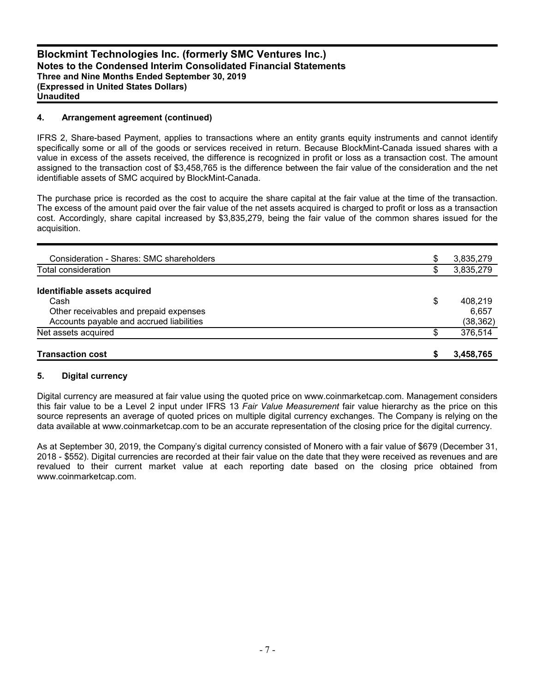## **4. Arrangement agreement (continued)**

IFRS 2, Share-based Payment, applies to transactions where an entity grants equity instruments and cannot identify specifically some or all of the goods or services received in return. Because BlockMint-Canada issued shares with a value in excess of the assets received, the difference is recognized in profit or loss as a transaction cost. The amount assigned to the transaction cost of \$3,458,765 is the difference between the fair value of the consideration and the net identifiable assets of SMC acquired by BlockMint-Canada.

The purchase price is recorded as the cost to acquire the share capital at the fair value at the time of the transaction. The excess of the amount paid over the fair value of the net assets acquired is charged to profit or loss as a transaction cost. Accordingly, share capital increased by \$3,835,279, being the fair value of the common shares issued for the acquisition.

| <b>Transaction cost</b>                  | S  | 3,458,765 |
|------------------------------------------|----|-----------|
| Net assets acquired                      | \$ | 376,514   |
| Accounts payable and accrued liabilities |    | (38, 362) |
| Other receivables and prepaid expenses   |    | 6.657     |
| Cash                                     | \$ | 408.219   |
| Identifiable assets acquired             |    |           |
| Total consideration                      | \$ | 3,835,279 |
| Consideration - Shares: SMC shareholders | \$ | 3,835,279 |
|                                          |    |           |

### **5. Digital currency**

Digital currency are measured at fair value using the quoted price on www.coinmarketcap.com. Management considers this fair value to be a Level 2 input under IFRS 13 *Fair Value Measurement* fair value hierarchy as the price on this source represents an average of quoted prices on multiple digital currency exchanges. The Company is relying on the data available at www.coinmarketcap.com to be an accurate representation of the closing price for the digital currency.

As at September 30, 2019, the Company's digital currency consisted of Monero with a fair value of \$679 (December 31, 2018 - \$552). Digital currencies are recorded at their fair value on the date that they were received as revenues and are revalued to their current market value at each reporting date based on the closing price obtained from www.coinmarketcap.com.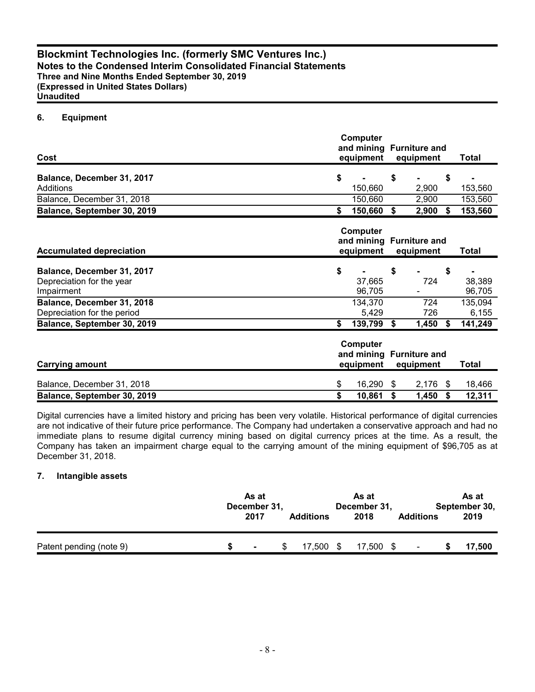# **6. Equipment**

| Cost                                                                  | Computer<br>and mining Furniture and<br>equipment<br>equipment |                                  |                                                                                 |                |                  |                    |  |
|-----------------------------------------------------------------------|----------------------------------------------------------------|----------------------------------|---------------------------------------------------------------------------------|----------------|------------------|--------------------|--|
| Balance, December 31, 2017<br>Additions                               | \$                                                             | 150,660                          | \$                                                                              | 2,900          | \$               | 153,560            |  |
| Balance, December 31, 2018<br>Balance, September 30, 2019             | \$                                                             | 150,660<br>150,660 \$            |                                                                                 | 2,900<br>2,900 | Ŝ.               | 153,560<br>153,560 |  |
| <b>Accumulated depreciation</b>                                       | Computer<br>and mining Furniture and<br>equipment              |                                  |                                                                                 | equipment      | Total            |                    |  |
| Balance, December 31, 2017<br>Depreciation for the year<br>Impairment | \$                                                             | 37,665<br>96,705                 | \$                                                                              | 724            | \$               | 38,389<br>96,705   |  |
| Balance, December 31, 2018<br>Depreciation for the period             |                                                                | 134,370<br>5,429                 |                                                                                 | 724<br>726     |                  | 135,094<br>6,155   |  |
| Balance, September 30, 2019<br><b>Carrying amount</b>                 | \$                                                             | 139,799<br>Computer<br>equipment | $\sqrt[6]{\frac{1}{2}}$<br>1,450<br>S.<br>and mining Furniture and<br>equipment |                | 141,249<br>Total |                    |  |
| Balance, December 31, 2018<br>Balance, September 30, 2019             | \$<br>\$                                                       | 16,290<br>10,861                 | \$<br>\$                                                                        | 2,176<br>1,450 | \$<br>\$         | 18,466<br>12,311   |  |

Digital currencies have a limited history and pricing has been very volatile. Historical performance of digital currencies are not indicative of their future price performance. The Company had undertaken a conservative approach and had no immediate plans to resume digital currency mining based on digital currency prices at the time. As a result, the Company has taken an impairment charge equal to the carrying amount of the mining equipment of \$96,705 as at December 31, 2018.

## **7. Intangible assets**

|                         | As at<br>December 31,<br>2017 | <b>Additions</b> | As at<br>December 31,<br>2018 | <b>Additions</b> | As at<br>September 30,<br>2019 |
|-------------------------|-------------------------------|------------------|-------------------------------|------------------|--------------------------------|
| Patent pending (note 9) | $\blacksquare$                | 7.500            | 17,500 \$                     |                  | 17,500                         |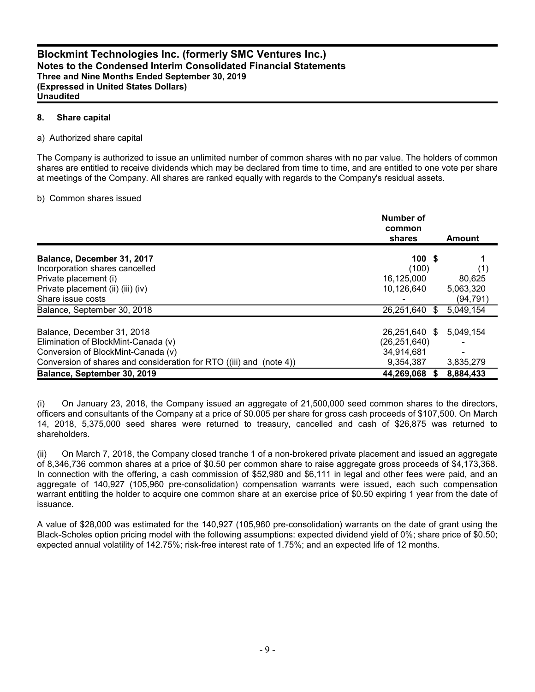## **8. Share capital**

## a) Authorized share capital

The Company is authorized to issue an unlimited number of common shares with no par value. The holders of common shares are entitled to receive dividends which may be declared from time to time, and are entitled to one vote per share at meetings of the Company. All shares are ranked equally with regards to the Company's residual assets.

#### b) Common shares issued

|                                                                     | Number of<br>common<br>shares | <b>Amount</b> |
|---------------------------------------------------------------------|-------------------------------|---------------|
| Balance, December 31, 2017                                          | 100S                          |               |
| Incorporation shares cancelled                                      | (100)                         | (1)           |
| Private placement (i)                                               | 16,125,000                    | 80,625        |
| Private placement (ii) (iii) (iv)                                   | 10.126.640                    | 5,063,320     |
| Share issue costs                                                   |                               | (94, 791)     |
| Balance, September 30, 2018                                         | 26,251,640<br>\$.             | 5,049,154     |
| Balance, December 31, 2018                                          | 26,251,640 \$                 | 5,049,154     |
| Elimination of BlockMint-Canada (v)                                 | (26, 251, 640)                |               |
| Conversion of BlockMint-Canada (v)                                  | 34,914,681                    |               |
| Conversion of shares and consideration for RTO ((iii) and (note 4)) | 9,354,387                     | 3,835,279     |
| Balance, September 30, 2019                                         | 44,269,068                    | 8,884,433     |

(i) On January 23, 2018, the Company issued an aggregate of 21,500,000 seed common shares to the directors, officers and consultants of the Company at a price of \$0.005 per share for gross cash proceeds of \$107,500. On March 14, 2018, 5,375,000 seed shares were returned to treasury, cancelled and cash of \$26,875 was returned to shareholders.

(ii) On March 7, 2018, the Company closed tranche 1 of a non-brokered private placement and issued an aggregate of 8,346,736 common shares at a price of \$0.50 per common share to raise aggregate gross proceeds of \$4,173,368. In connection with the offering, a cash commission of \$52,980 and \$6,111 in legal and other fees were paid, and an aggregate of 140,927 (105,960 pre-consolidation) compensation warrants were issued, each such compensation warrant entitling the holder to acquire one common share at an exercise price of \$0.50 expiring 1 year from the date of issuance.

A value of \$28,000 was estimated for the 140,927 (105,960 pre-consolidation) warrants on the date of grant using the Black-Scholes option pricing model with the following assumptions: expected dividend yield of 0%; share price of \$0.50; expected annual volatility of 142.75%; risk-free interest rate of 1.75%; and an expected life of 12 months.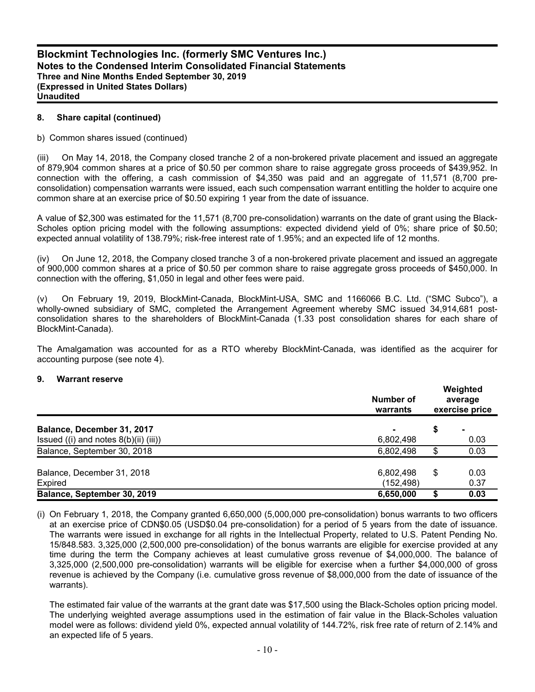#### **8. Share capital (continued)**

#### b) Common shares issued (continued)

(iii) On May 14, 2018, the Company closed tranche 2 of a non-brokered private placement and issued an aggregate of 879,904 common shares at a price of \$0.50 per common share to raise aggregate gross proceeds of \$439,952. In connection with the offering, a cash commission of \$4,350 was paid and an aggregate of 11,571 (8,700 preconsolidation) compensation warrants were issued, each such compensation warrant entitling the holder to acquire one common share at an exercise price of \$0.50 expiring 1 year from the date of issuance.

A value of \$2,300 was estimated for the 11,571 (8,700 pre-consolidation) warrants on the date of grant using the Black-Scholes option pricing model with the following assumptions: expected dividend yield of 0%; share price of \$0.50; expected annual volatility of 138.79%; risk-free interest rate of 1.95%; and an expected life of 12 months.

(iv) On June 12, 2018, the Company closed tranche 3 of a non-brokered private placement and issued an aggregate of 900,000 common shares at a price of \$0.50 per common share to raise aggregate gross proceeds of \$450,000. In connection with the offering, \$1,050 in legal and other fees were paid.

(v) On February 19, 2019, BlockMint-Canada, BlockMint-USA, SMC and 1166066 B.C. Ltd. ("SMC Subco"), a wholly-owned subsidiary of SMC, completed the Arrangement Agreement whereby SMC issued 34,914,681 postconsolidation shares to the shareholders of BlockMint-Canada (1.33 post consolidation shares for each share of BlockMint-Canada).

The Amalgamation was accounted for as a RTO whereby BlockMint-Canada, was identified as the acquirer for accounting purpose (see note 4).

#### **9. Warrant reserve**

|                                            | Number of<br>warrants | Weighted<br>average<br>exercise price |      |  |
|--------------------------------------------|-----------------------|---------------------------------------|------|--|
| Balance, December 31, 2017                 |                       | \$                                    |      |  |
| Issued $((i)$ and notes $8(b)(ii)$ $(iii)$ | 6,802,498             |                                       | 0.03 |  |
| Balance, September 30, 2018                | 6,802,498             | \$                                    | 0.03 |  |
| Balance, December 31, 2018                 | 6,802,498             | \$                                    | 0.03 |  |
| Expired                                    | (152, 498)            |                                       | 0.37 |  |
| Balance, September 30, 2019                | 6,650,000             |                                       | 0.03 |  |

(i) On February 1, 2018, the Company granted 6,650,000 (5,000,000 pre-consolidation) bonus warrants to two officers at an exercise price of CDN\$0.05 (USD\$0.04 pre-consolidation) for a period of 5 years from the date of issuance. The warrants were issued in exchange for all rights in the Intellectual Property, related to U.S. Patent Pending No. 15/848.583. 3,325,000 (2,500,000 pre-consolidation) of the bonus warrants are eligible for exercise provided at any time during the term the Company achieves at least cumulative gross revenue of \$4,000,000. The balance of 3,325,000 (2,500,000 pre-consolidation) warrants will be eligible for exercise when a further \$4,000,000 of gross revenue is achieved by the Company (i.e. cumulative gross revenue of \$8,000,000 from the date of issuance of the warrants).

The estimated fair value of the warrants at the grant date was \$17,500 using the Black-Scholes option pricing model. The underlying weighted average assumptions used in the estimation of fair value in the Black-Scholes valuation model were as follows: dividend yield 0%, expected annual volatility of 144.72%, risk free rate of return of 2.14% and an expected life of 5 years.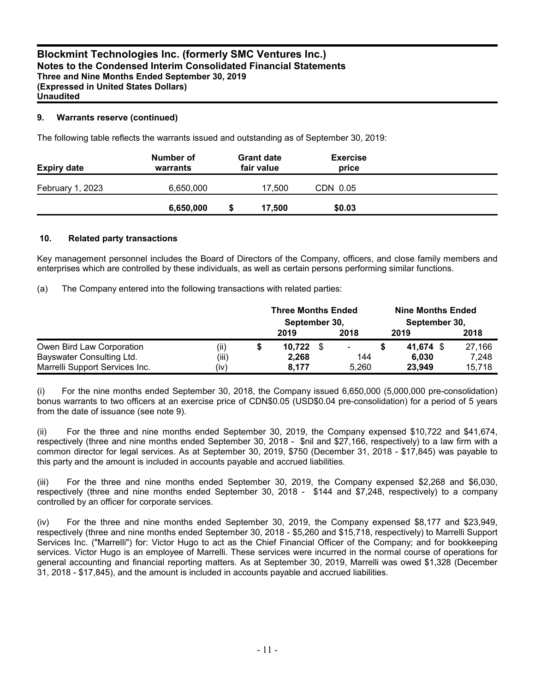# **9. Warrants reserve (continued)**

The following table reflects the warrants issued and outstanding as of September 30, 2019:

| <b>Expiry date</b> | Number of<br>warrants | <b>Grant date</b><br>fair value | <b>Exercise</b><br>price |  |
|--------------------|-----------------------|---------------------------------|--------------------------|--|
| February 1, 2023   | 6,650,000             | 17.500                          | CDN 0.05                 |  |
|                    | 6,650,000             | 17,500                          | \$0.03                   |  |

# **10. Related party transactions**

Key management personnel includes the Board of Directors of the Company, officers, and close family members and enterprises which are controlled by these individuals, as well as certain persons performing similar functions.

(a) The Company entered into the following transactions with related parties:

|                                |       |  | <b>Three Months Ended</b> |  |       |      | <b>Nine Months Ended</b> |        |  |  |  |  |
|--------------------------------|-------|--|---------------------------|--|-------|------|--------------------------|--------|--|--|--|--|
|                                |       |  | September 30,             |  |       |      | September 30,            |        |  |  |  |  |
|                                |       |  | 2019                      |  | 2018  | 2019 |                          | 2018   |  |  |  |  |
| Owen Bird Law Corporation      | (ii)  |  | $10,722$ \$               |  | ٠     |      | 41.674 \$                | 27,166 |  |  |  |  |
| Bayswater Consulting Ltd.      | (iii) |  | 2,268                     |  | 144   |      | 6.030                    | 7,248  |  |  |  |  |
| Marrelli Support Services Inc. | (iv)  |  | 8,177                     |  | 5.260 |      | 23,949                   | 15.718 |  |  |  |  |

(i) For the nine months ended September 30, 2018, the Company issued 6,650,000 (5,000,000 pre-consolidation) bonus warrants to two officers at an exercise price of CDN\$0.05 (USD\$0.04 pre-consolidation) for a period of 5 years from the date of issuance (see note 9).

(ii) For the three and nine months ended September 30, 2019, the Company expensed \$10,722 and \$41,674, respectively (three and nine months ended September 30, 2018 - \$nil and \$27,166, respectively) to a law firm with a common director for legal services. As at September 30, 2019, \$750 (December 31, 2018 - \$17,845) was payable to this party and the amount is included in accounts payable and accrued liabilities.

(iii) For the three and nine months ended September 30, 2019, the Company expensed \$2,268 and \$6,030, respectively (three and nine months ended September 30, 2018 - \$144 and \$7,248, respectively) to a company controlled by an officer for corporate services.

(iv) For the three and nine months ended September 30, 2019, the Company expensed \$8,177 and \$23,949, respectively (three and nine months ended September 30, 2018 - \$5,260 and \$15,718, respectively) to Marrelli Support Services Inc. ("Marrelli") for: Victor Hugo to act as the Chief Financial Officer of the Company; and for bookkeeping services. Victor Hugo is an employee of Marrelli. These services were incurred in the normal course of operations for general accounting and financial reporting matters. As at September 30, 2019, Marrelli was owed \$1,328 (December 31, 2018 - \$17,845), and the amount is included in accounts payable and accrued liabilities.